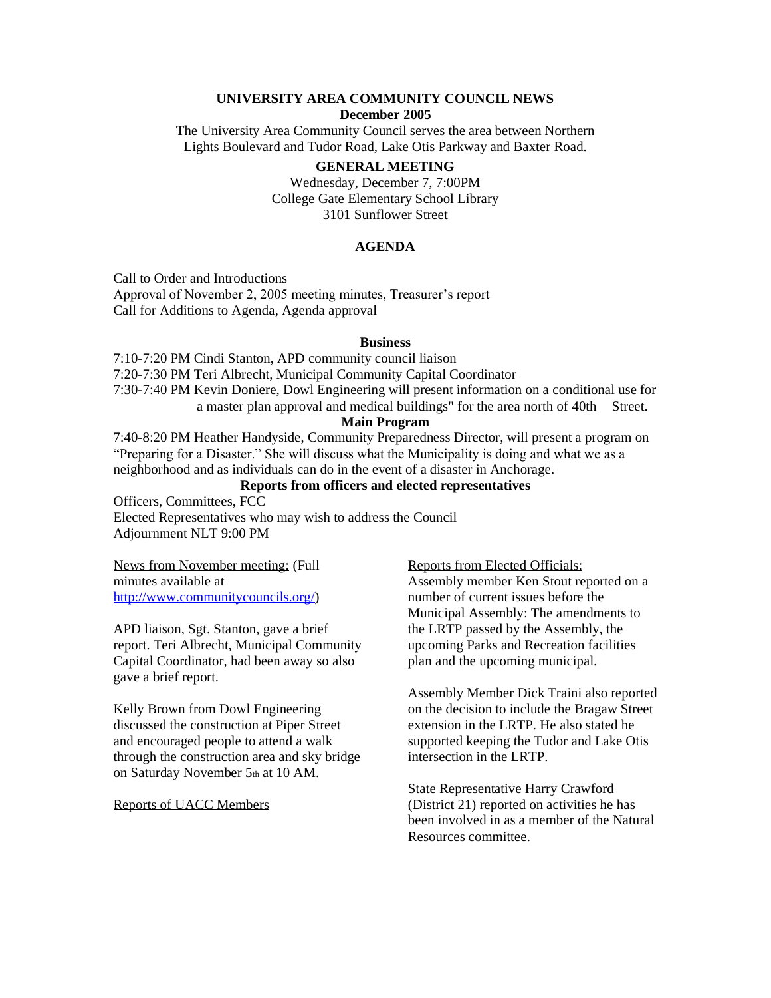# **UNIVERSITY AREA COMMUNITY COUNCIL NEWS**

**December 2005**

The University Area Community Council serves the area between Northern Lights Boulevard and Tudor Road, Lake Otis Parkway and Baxter Road.

# **GENERAL MEETING**

Wednesday, December 7, 7:00PM College Gate Elementary School Library 3101 Sunflower Street

### **AGENDA**

Call to Order and Introductions

Approval of November 2, 2005 meeting minutes, Treasurer's report Call for Additions to Agenda, Agenda approval

#### **Business**

7:10-7:20 PM Cindi Stanton, APD community council liaison 7:20-7:30 PM Teri Albrecht, Municipal Community Capital Coordinator 7:30-7:40 PM Kevin Doniere, Dowl Engineering will present information on a conditional use for a master plan approval and medical buildings" for the area north of 40th Street.

### **Main Program**

7:40-8:20 PM Heather Handyside, Community Preparedness Director, will present a program on "Preparing for a Disaster." She will discuss what the Municipality is doing and what we as a neighborhood and as individuals can do in the event of a disaster in Anchorage.

# **Reports from officers and elected representatives**

Officers, Committees, FCC Elected Representatives who may wish to address the Council Adjournment NLT 9:00 PM

News from November meeting: (Full minutes available at [http://www.communitycouncils.org/\)](http://www.communitycouncils.org/)

APD liaison, Sgt. Stanton, gave a brief report. Teri Albrecht, Municipal Community Capital Coordinator, had been away so also gave a brief report.

Kelly Brown from Dowl Engineering discussed the construction at Piper Street and encouraged people to attend a walk through the construction area and sky bridge on Saturday November 5th at 10 AM.

Reports of UACC Members

Reports from Elected Officials:

Assembly member Ken Stout reported on a number of current issues before the Municipal Assembly: The amendments to the LRTP passed by the Assembly, the upcoming Parks and Recreation facilities plan and the upcoming municipal.

Assembly Member Dick Traini also reported on the decision to include the Bragaw Street extension in the LRTP. He also stated he supported keeping the Tudor and Lake Otis intersection in the LRTP.

State Representative Harry Crawford (District 21) reported on activities he has been involved in as a member of the Natural Resources committee.